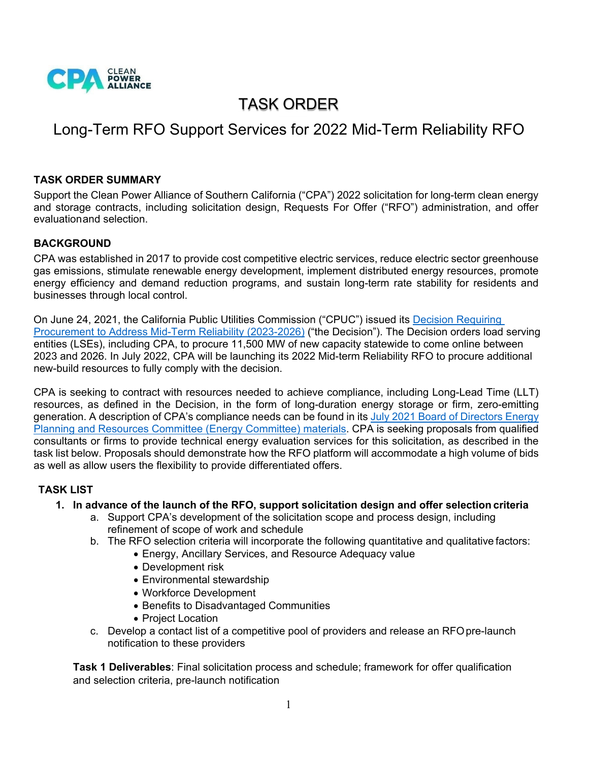

# TASK ORDER

# Long-Term RFO Support Services for 2022 Mid-Term Reliability RFO

#### **TASK ORDER SUMMARY**

Support the Clean Power Alliance of Southern California ("CPA") 2022 solicitation for long-term clean energy and storage contracts, including solicitation design, Requests For Offer ("RFO") administration, and offer evaluationand selection.

#### **BACKGROUND**

CPA was established in 2017 to provide cost competitive electric services, reduce electric sector greenhouse gas emissions, stimulate renewable energy development, implement distributed energy resources, promote energy efficiency and demand reduction programs, and sustain long-term rate stability for residents and businesses through local control.

On June 24, 2021, the California Public Utilities Commission ("CPUC") issued its [Decision Requiring](https://docs.cpuc.ca.gov/PublishedDocs/Published/G000/M389/K603/389603637.PDF)  [Procurement to Address Mid-Term Reliability](https://docs.cpuc.ca.gov/PublishedDocs/Published/G000/M389/K603/389603637.PDF) (2023-2026) ("the Decision"). The Decision orders load serving entities (LSEs), including CPA, to procure 11,500 MW of new capacity statewide to come online between 2023 and 2026. In July 2022, CPA will be launching its 2022 Mid-term Reliability RFO to procure additional new-build resources to fully comply with the decision.

CPA is seeking to contract with resources needed to achieve compliance, including Long-Lead Time (LLT) resources, as defined in the Decision, in the form of long-duration energy storage or firm, zero-emitting generation. A description of CPA's compliance needs can be found in its July 2021 Board of Directors Energy [Planning and Resources Committee \(Energy Committee\) materials.](https://cleanpoweralliance.org/wp-content/uploads/2021/07/07-28-2021-Energy-Committee-Agenda-Packet-Updated.pdf) CPA is seeking proposals from qualified consultants or firms to provide technical energy evaluation services for this solicitation, as described in the task list below. Proposals should demonstrate how the RFO platform will accommodate a high volume of bids as well as allow users the flexibility to provide differentiated offers.

#### **TASK LIST**

#### **1. In advance of the launch of the RFO, support solicitation design and offer selection criteria**

- a. Support CPA's development of the solicitation scope and process design, including refinement of scope of work and schedule
- b. The RFO selection criteria will incorporate the following quantitative and qualitative factors:
	- Energy, Ancillary Services, and Resource Adequacy value
		- Development risk
		- Environmental stewardship
		- Workforce Development
		- Benefits to Disadvantaged Communities
		- Project Location
- c. Develop a contact list of a competitive pool of providers and release an RFO pre-launch notification to these providers

**Task 1 Deliverables**: Final solicitation process and schedule; framework for offer qualification and selection criteria, pre-launch notification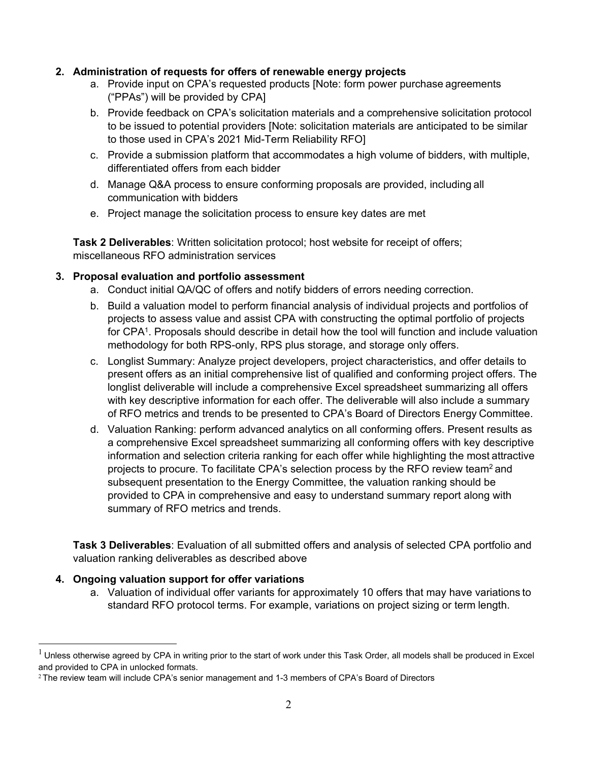#### **2. Administration of requests for offers of renewable energy projects**

- a. Provide input on CPA's requested products [Note: form power purchase agreements ("PPAs") will be provided by CPA]
- b. Provide feedback on CPA's solicitation materials and a comprehensive solicitation protocol to be issued to potential providers [Note: solicitation materials are anticipated to be similar to those used in CPA's 2021 Mid-Term Reliability RFO]
- c. Provide a submission platform that accommodates a high volume of bidders, with multiple, differentiated offers from each bidder
- d. Manage Q&A process to ensure conforming proposals are provided, including all communication with bidders
- e. Project manage the solicitation process to ensure key dates are met

**Task 2 Deliverables**: Written solicitation protocol; host website for receipt of offers; miscellaneous RFO administration services

#### **3. Proposal evaluation and portfolio assessment**

- a. Conduct initial QA/QC of offers and notify bidders of errors needing correction.
- b. Build a valuation model to perform financial analysis of individual projects and portfolios of projects to assess value and assist CPA with constructing the optimal portfolio of projects for CPA<sup>1</sup>. Proposals should describe in detail how the tool will function and include valuation methodology for both RPS-only, RPS plus storage, and storage only offers.
- c. Longlist Summary: Analyze project developers, project characteristics, and offer details to present offers as an initial comprehensive list of qualified and conforming project offers. The longlist deliverable will include a comprehensive Excel spreadsheet summarizing all offers with key descriptive information for each offer. The deliverable will also include a summary of RFO metrics and trends to be presented to CPA's Board of Directors Energy Committee.
- d. Valuation Ranking: perform advanced analytics on all conforming offers. Present results as a comprehensive Excel spreadsheet summarizing all conforming offers with key descriptive information and selection criteria ranking for each offer while highlighting the most attractive projects to procure. To facilitate CPA's selection process by the RFO review team<sup>2</sup> and subsequent presentation to the Energy Committee, the valuation ranking should be provided to CPA in comprehensive and easy to understand summary report along with summary of RFO metrics and trends.

**Task 3 Deliverables**: Evaluation of all submitted offers and analysis of selected CPA portfolio and valuation ranking deliverables as described above

#### **4. Ongoing valuation support for offer variations**

a. Valuation of individual offer variants for approximately 10 offers that may have variations to standard RFO protocol terms. For example, variations on project sizing or term length.

 $^{\rm 1}$  Unless otherwise agreed by CPA in writing prior to the start of work under this Task Order, all models shall be produced in Excel and provided to CPA in unlocked formats.

<sup>&</sup>lt;sup>2</sup> The review team will include CPA's senior management and 1-3 members of CPA's Board of Directors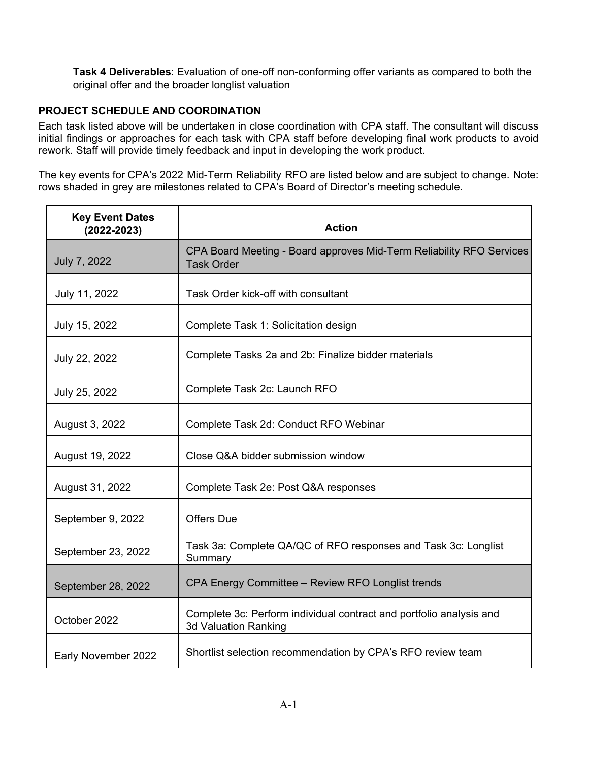**Task 4 Deliverables**: Evaluation of one-off non-conforming offer variants as compared to both the original offer and the broader longlist valuation

#### **PROJECT SCHEDULE AND COORDINATION**

Each task listed above will be undertaken in close coordination with CPA staff. The consultant will discuss initial findings or approaches for each task with CPA staff before developing final work products to avoid rework. Staff will provide timely feedback and input in developing the work product.

The key events for CPA's 2022 Mid-Term Reliability RFO are listed below and are subject to change. Note: rows shaded in grey are milestones related to CPA's Board of Director's meeting schedule.

| <b>Key Event Dates</b><br>$(2022 - 2023)$ | <b>Action</b>                                                                               |
|-------------------------------------------|---------------------------------------------------------------------------------------------|
| July 7, 2022                              | CPA Board Meeting - Board approves Mid-Term Reliability RFO Services<br><b>Task Order</b>   |
| July 11, 2022                             | Task Order kick-off with consultant                                                         |
| July 15, 2022                             | Complete Task 1: Solicitation design                                                        |
| July 22, 2022                             | Complete Tasks 2a and 2b: Finalize bidder materials                                         |
| July 25, 2022                             | Complete Task 2c: Launch RFO                                                                |
| August 3, 2022                            | Complete Task 2d: Conduct RFO Webinar                                                       |
| August 19, 2022                           | Close Q&A bidder submission window                                                          |
| August 31, 2022                           | Complete Task 2e: Post Q&A responses                                                        |
| September 9, 2022                         | <b>Offers Due</b>                                                                           |
| September 23, 2022                        | Task 3a: Complete QA/QC of RFO responses and Task 3c: Longlist<br>Summary                   |
| September 28, 2022                        | CPA Energy Committee - Review RFO Longlist trends                                           |
| October 2022                              | Complete 3c: Perform individual contract and portfolio analysis and<br>3d Valuation Ranking |
| Early November 2022                       | Shortlist selection recommendation by CPA's RFO review team                                 |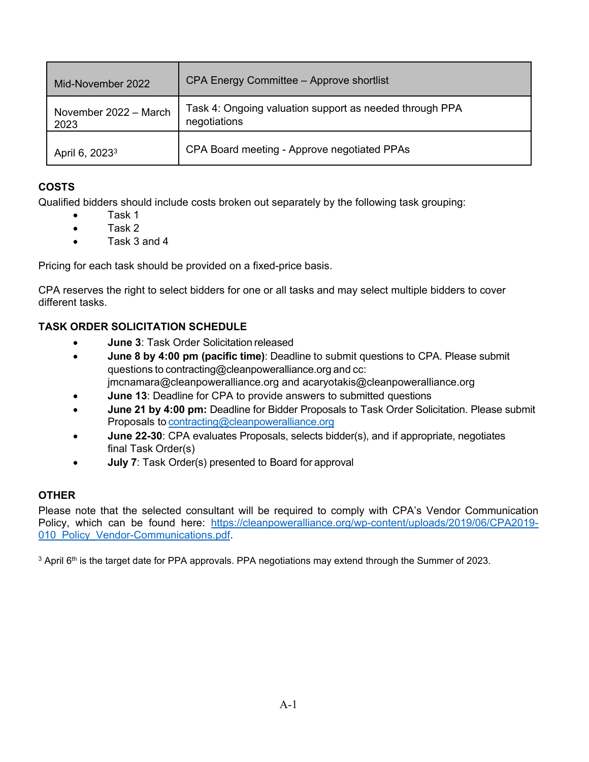| Mid-November 2022             | CPA Energy Committee - Approve shortlist                                |  |
|-------------------------------|-------------------------------------------------------------------------|--|
| November 2022 - March<br>2023 | Task 4: Ongoing valuation support as needed through PPA<br>negotiations |  |
| April 6, 2023 <sup>3</sup>    | CPA Board meeting - Approve negotiated PPAs                             |  |

### **COSTS**

Qualified bidders should include costs broken out separately by the following task grouping:

- Task 1
- Task 2
- Task 3 and 4

Pricing for each task should be provided on a fixed-price basis.

CPA reserves the right to select bidders for one or all tasks and may select multiple bidders to cover different tasks.

### **TASK ORDER SOLICITATION SCHEDULE**

- **June 3: Task Order Solicitation released**
- **June 8 by 4:00 pm (pacific time)**: Deadline to submit questions to CPA. Please submit questions to [contracting@cleanpoweralliance.org](mailto:contracting@cleanpoweralliance.org) and [cc:](mailto:enielsen@cleanpoweralliance.org) [jmcnamara@cleanpoweralliance.org](mailto:enielsen@cleanpoweralliance.org) and acaryotakis@cleanpoweralliance.org
- **June 13**: Deadline for CPA to provide answers to submitted questions
- **June 21 by 4:00 pm:** Deadline for Bidder Proposals to Task Order Solicitation. Please submit Proposals to [contracting@cleanpoweralliance.org](mailto:contracting@cleanpoweralliance.org.)
- **June 22-30**: CPA evaluates Proposals, selects bidder(s), and if appropriate, negotiates final Task Order(s)
- **July 7**: Task Order(s) presented to Board for approval

### **OTHER**

Please note that the selected consultant will be required to comply with CPA's Vendor Communication Policy, which can be found here: https://cleanpoweralliance.org/wp-content/uploads/2019/06/CPA2019- 010 Policy Vendor-Communications.pdf.

<sup>3</sup> April 6<sup>th</sup> is the target date for PPA approvals. PPA negotiations may extend through the Summer of 2023.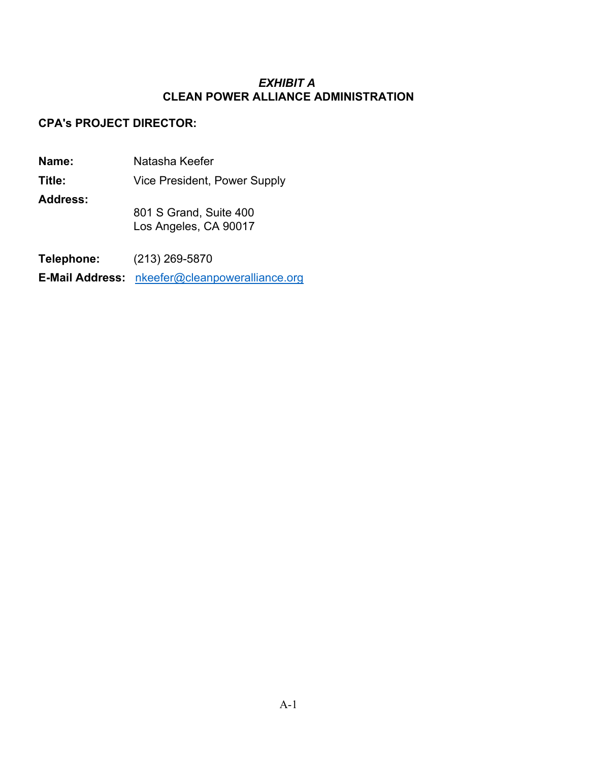#### *EXHIBIT A* **CLEAN POWER ALLIANCE ADMINISTRATION**

#### **CPA's PROJECT DIRECTOR:**

**Name:** Natasha Keefer

**Title:** Vice President, Power Supply

**Address:**

801 S Grand, Suite 400 Los Angeles, CA 90017

**Telephone:** (213) 269-5870

**E-Mail Address:** [nkeefer@cleanpoweralliance.org](mailto:nkeefer@cleanpoweralliance.org)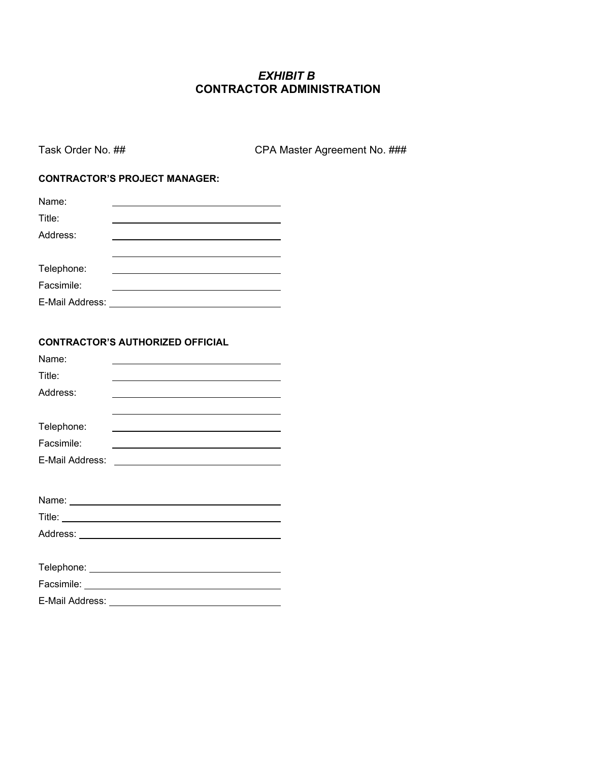### *EXHIBIT B* **CONTRACTOR ADMINISTRATION**

Task Order No. ## CPA Master Agreement No. ###

#### **CONTRACTOR'S PROJECT MANAGER:**

#### **CONTRACTOR'S AUTHORIZED OFFICIAL**

| Name:           |                                                                                                                                                                                                                               |
|-----------------|-------------------------------------------------------------------------------------------------------------------------------------------------------------------------------------------------------------------------------|
| Title:          |                                                                                                                                                                                                                               |
| Address:        | the control of the control of the control of the control of the control of the control of the control of the control of the control of the control of the control of the control of the control of the control of the control |
|                 | <u> 1989 - Johann Stoff, amerikansk politiker (* 1908)</u>                                                                                                                                                                    |
| Telephone:      | <u> 1989 - Johann Barnett, fransk politiker (d. 1989)</u>                                                                                                                                                                     |
| Facsimile:      | <u> 1989 - Johann Barbara, martxa alemaniar arg</u>                                                                                                                                                                           |
| E-Mail Address: | <u> 1989 - Johann Barn, mars ann an t-Amhain Aonaichte ann an t-Aonaichte ann an t-Aonaichte ann an t-Aonaichte a</u>                                                                                                         |
|                 |                                                                                                                                                                                                                               |
|                 |                                                                                                                                                                                                                               |
|                 |                                                                                                                                                                                                                               |
|                 |                                                                                                                                                                                                                               |
|                 |                                                                                                                                                                                                                               |
|                 |                                                                                                                                                                                                                               |
|                 |                                                                                                                                                                                                                               |
|                 |                                                                                                                                                                                                                               |
|                 | E-Mail Address: <u>_______________________________</u>                                                                                                                                                                        |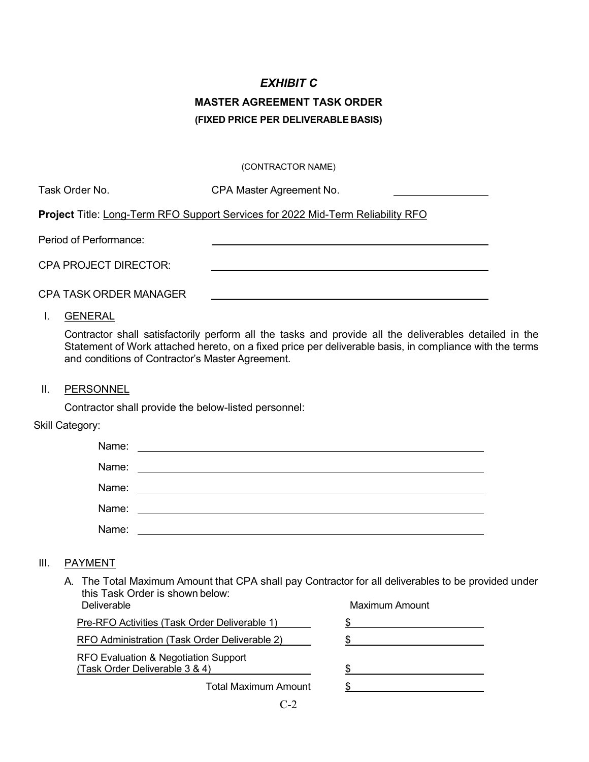# *EXHIBIT C* **MASTER AGREEMENT TASK ORDER (FIXED PRICE PER DELIVERABLE BASIS)**

#### (CONTRACTOR NAME)

| Task Order No. | CPA Master Agreement No. |
|----------------|--------------------------|
|----------------|--------------------------|

**Project** Title: Long-Term RFO Support Services for 2022 Mid-Term Reliability RFO

Period of Performance:

CPA PROJECT DIRECTOR:

CPA TASK ORDER MANAGER

I. GENERAL

Contractor shall satisfactorily perform all the tasks and provide all the deliverables detailed in the Statement of Work attached hereto, on a fixed price per deliverable basis, in compliance with the terms and conditions of Contractor's Master Agreement.

II. PERSONNEL

Contractor shall provide the below-listed personnel:

Skill Category:

| Name: |                                          |
|-------|------------------------------------------|
| Name: | <u> 1989 - Andrea State Barbara, pre</u> |
| Name: | <u> 1989 - Andrea State Barbara, pre</u> |
| Name: |                                          |
| Name: |                                          |

#### III. PAYMENT

A. The Total Maximum Amount that CPA shall pay Contractor for all deliverables to be provided under this Task Order is shown below:<br>Deliverable Maximum Amount

| <u>UVIII VULUVIV</u>                                                   |                      | ,,,,,,,,,,,,,,,,,,,,,,,,,,,,,, |  |
|------------------------------------------------------------------------|----------------------|--------------------------------|--|
| Pre-RFO Activities (Task Order Deliverable 1)                          |                      |                                |  |
| <b>RFO Administration (Task Order Deliverable 2)</b>                   |                      |                                |  |
| RFO Evaluation & Negotiation Support<br>(Task Order Deliverable 3 & 4) |                      |                                |  |
|                                                                        | Total Maximum Amount |                                |  |
|                                                                        |                      |                                |  |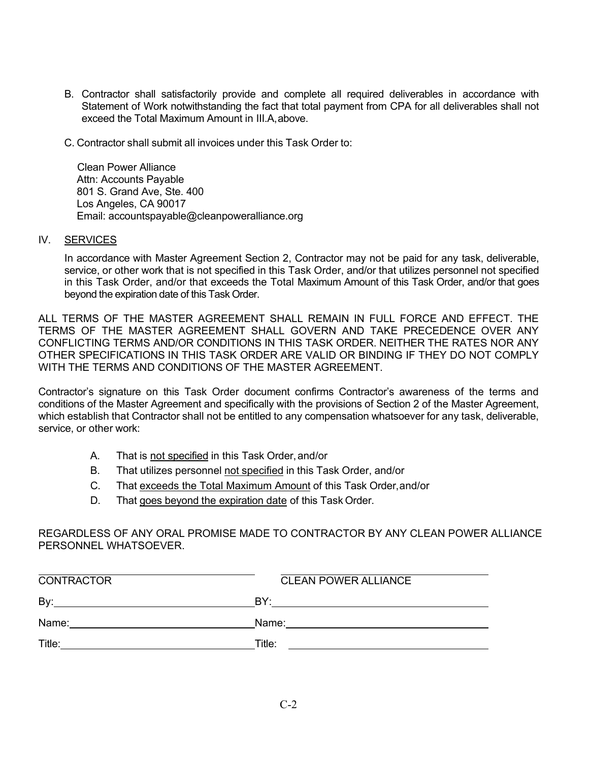- B. Contractor shall satisfactorily provide and complete all required deliverables in accordance with Statement of Work notwithstanding the fact that total payment from CPA for all deliverables shall not exceed the Total Maximum Amount in III.A,above.
- C. Contractor shall submit all invoices under this Task Order to:

 Clean Power Alliance Attn: Accounts Payable 801 S. Grand Ave, Ste. 400 Los Angeles, CA 90017 Email: accountspayable@cleanpoweralliance.org

#### IV. SERVICES

In accordance with Master Agreement Section 2, Contractor may not be paid for any task, deliverable, service, or other work that is not specified in this Task Order, and/or that utilizes personnel not specified in this Task Order, and/or that exceeds the Total Maximum Amount of this Task Order, and/or that goes beyond the expiration date of this Task Order.

ALL TERMS OF THE MASTER AGREEMENT SHALL REMAIN IN FULL FORCE AND EFFECT. THE TERMS OF THE MASTER AGREEMENT SHALL GOVERN AND TAKE PRECEDENCE OVER ANY CONFLICTING TERMS AND/OR CONDITIONS IN THIS TASK ORDER. NEITHER THE RATES NOR ANY OTHER SPECIFICATIONS IN THIS TASK ORDER ARE VALID OR BINDING IF THEY DO NOT COMPLY WITH THE TERMS AND CONDITIONS OF THE MASTER AGREEMENT.

Contractor's signature on this Task Order document confirms Contractor's awareness of the terms and conditions of the Master Agreement and specifically with the provisions of Section 2 of the Master Agreement, which establish that Contractor shall not be entitled to any compensation whatsoever for any task, deliverable, service, or other work:

- A. That is not specified in this Task Order,and/or
- B. That utilizes personnel not specified in this Task Order, and/or
- C. That exceeds the Total Maximum Amount of this Task Order,and/or
- D. That goes beyond the expiration date of this Task Order.

REGARDLESS OF ANY ORAL PROMISE MADE TO CONTRACTOR BY ANY CLEAN POWER ALLIANCE PERSONNEL WHATSOEVER.

| <b>CONTRACTOR</b> | <b>CLEAN POWER ALLIANCE</b> |  |
|-------------------|-----------------------------|--|
| By:               | BY.                         |  |
| Name:             | Name:                       |  |
| Title:            | Title:                      |  |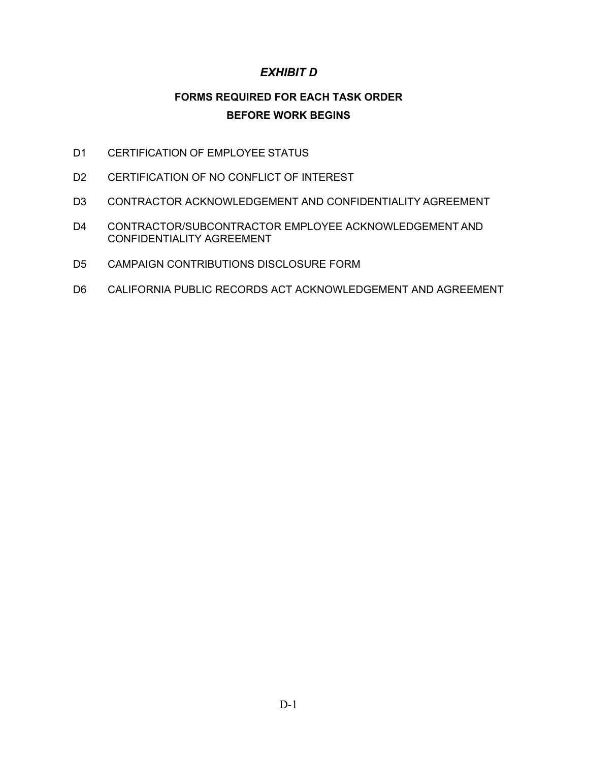### *EXHIBIT D*

## **FORMS REQUIRED FOR EACH TASK ORDER BEFORE WORK BEGINS**

- D1 CERTIFICATION OF EMPLOYEE STATUS
- D2 CERTIFICATION OF NO CONFLICT OF INTEREST
- D3 CONTRACTOR ACKNOWLEDGEMENT AND CONFIDENTIALITY AGREEMENT
- D4 CONTRACTOR/SUBCONTRACTOR EMPLOYEE ACKNOWLEDGEMENT AND CONFIDENTIALITY AGREEMENT
- D5 CAMPAIGN CONTRIBUTIONS DISCLOSURE FORM
- D6 CALIFORNIA PUBLIC RECORDS ACT ACKNOWLEDGEMENT AND AGREEMENT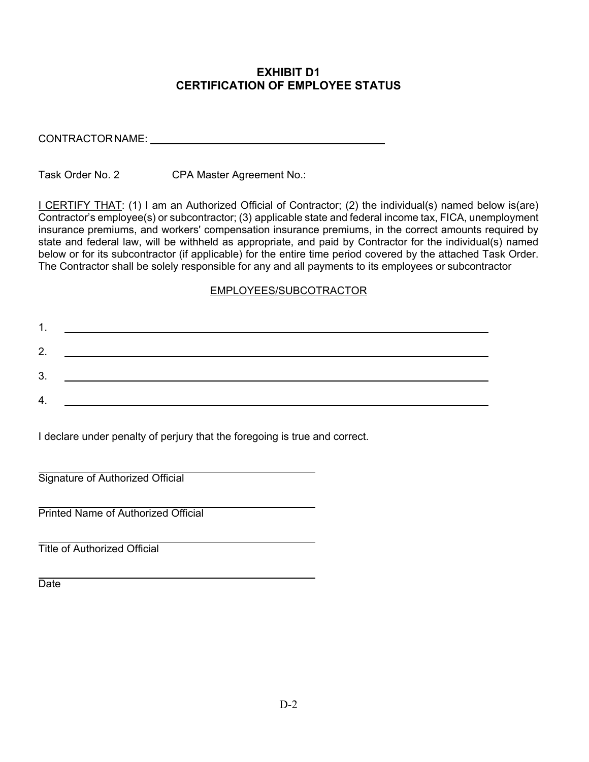#### **EXHIBIT D1 CERTIFICATION OF EMPLOYEE STATUS**

| CONTRACTORNAME: |  |
|-----------------|--|
|                 |  |

Task Order No. 2 CPA Master Agreement No.:

I CERTIFY THAT: (1) I am an Authorized Official of Contractor; (2) the individual(s) named below is(are) Contractor's employee(s) or subcontractor; (3) applicable state and federal income tax, FICA, unemployment insurance premiums, and workers' compensation insurance premiums, in the correct amounts required by state and federal law, will be withheld as appropriate, and paid by Contractor for the individual(s) named below or for its subcontractor (if applicable) for the entire time period covered by the attached Task Order. The Contractor shall be solely responsible for any and all payments to its employees or subcontractor

#### EMPLOYEES/SUBCOTRACTOR

| 1  |  |
|----|--|
| 2. |  |
| 3. |  |
| 4. |  |
|    |  |

I declare under penalty of perjury that the foregoing is true and correct.

Signature of Authorized Official

Printed Name of Authorized Official

Title of Authorized Official

**Date**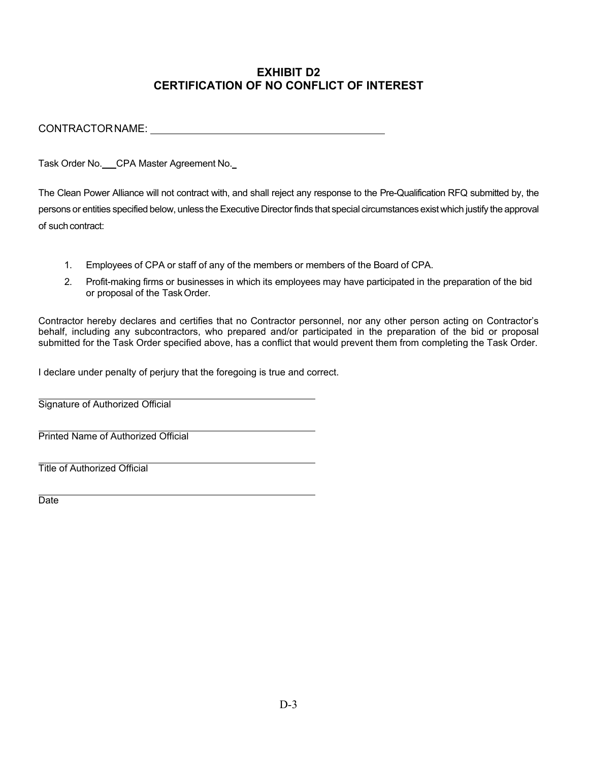### **EXHIBIT D2 CERTIFICATION OF NO CONFLICT OF INTEREST**

CONTRACTOR NAME:

Task Order No. CPA Master Agreement No.

The Clean Power Alliance will not contract with, and shall reject any response to the Pre-Qualification RFQ submitted by, the persons or entities specified below, unless the Executive Directorfinds that special circumstances existwhich justify the approval of such contract:

- 1. Employees of CPA or staff of any of the members or members of the Board of CPA.
- 2. Profit-making firms or businesses in which its employees may have participated in the preparation of the bid or proposal of the TaskOrder.

Contractor hereby declares and certifies that no Contractor personnel, nor any other person acting on Contractor's behalf, including any subcontractors, who prepared and/or participated in the preparation of the bid or proposal submitted for the Task Order specified above, has a conflict that would prevent them from completing the Task Order.

I declare under penalty of perjury that the foregoing is true and correct.

Signature of Authorized Official

Printed Name of Authorized Official

Title of Authorized Official

Date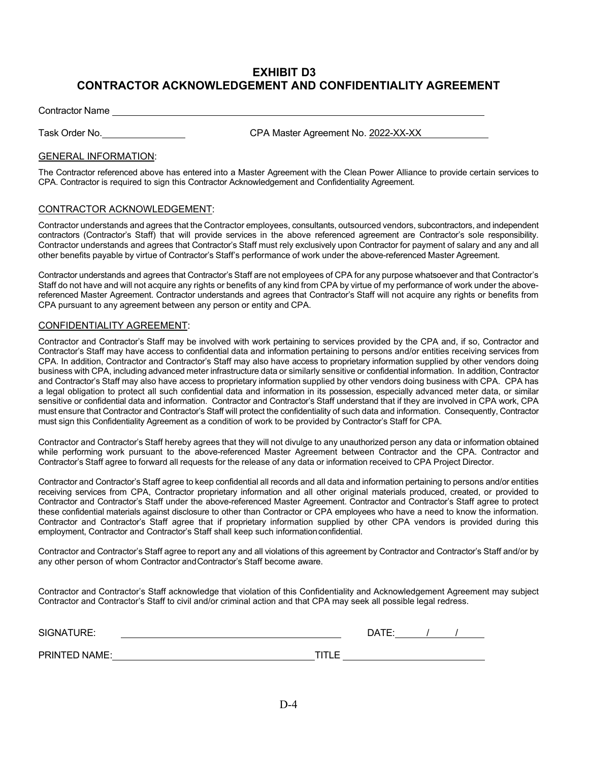#### **EXHIBIT D3 CONTRACTOR ACKNOWLEDGEMENT AND CONFIDENTIALITY AGREEMENT**

Contractor Name

Task Order No. CPA Master Agreement No. 2022-XX-XX

#### GENERAL INFORMATION:

The Contractor referenced above has entered into a Master Agreement with the Clean Power Alliance to provide certain services to CPA. Contractor is required to sign this Contractor Acknowledgement and Confidentiality Agreement.

#### CONTRACTOR ACKNOWLEDGEMENT:

Contractor understands and agrees that the Contractor employees, consultants, outsourced vendors, subcontractors, and independent contractors (Contractor's Staff) that will provide services in the above referenced agreement are Contractor's sole responsibility. Contractor understands and agrees that Contractor's Staff must rely exclusively upon Contractor for payment of salary and any and all other benefits payable by virtue of Contractor's Staff's performance of work under the above-referenced Master Agreement.

Contractor understands and agrees that Contractor's Staff are not employees of CPA for any purpose whatsoever and that Contractor's Staff do not have and will not acquire any rights or benefits of any kind from CPA by virtue of my performance of work under the abovereferenced Master Agreement. Contractor understands and agrees that Contractor's Staff will not acquire any rights or benefits from CPA pursuant to any agreement between any person or entity and CPA.

#### CONFIDENTIALITY AGREEMENT:

Contractor and Contractor's Staff may be involved with work pertaining to services provided by the CPA and, if so, Contractor and Contractor's Staff may have access to confidential data and information pertaining to persons and/or entities receiving services from CPA. In addition, Contractor and Contractor's Staff may also have access to proprietary information supplied by other vendors doing business with CPA, including advanced meter infrastructure data or similarly sensitive or confidential information. In addition, Contractor and Contractor's Staff may also have access to proprietary information supplied by other vendors doing business with CPA. CPA has a legal obligation to protect all such confidential data and information in its possession, especially advanced meter data, or similar sensitive or confidential data and information. Contractor and Contractor's Staff understand that if they are involved in CPA work, CPA must ensure that Contractor and Contractor's Staff will protect the confidentiality of such data and information. Consequently, Contractor must sign this Confidentiality Agreement as a condition of work to be provided by Contractor's Staff for CPA.

Contractor and Contractor's Staff hereby agrees that they will not divulge to any unauthorized person any data or information obtained while performing work pursuant to the above-referenced Master Agreement between Contractor and the CPA. Contractor and Contractor's Staff agree to forward all requests for the release of any data or information received to CPA Project Director.

Contractor and Contractor's Staff agree to keep confidential all records and all data and information pertaining to persons and/or entities receiving services from CPA, Contractor proprietary information and all other original materials produced, created, or provided to Contractor and Contractor's Staff under the above-referenced Master Agreement. Contractor and Contractor's Staff agree to protect these confidential materials against disclosure to other than Contractor or CPA employees who have a need to know the information. Contractor and Contractor's Staff agree that if proprietary information supplied by other CPA vendors is provided during this employment, Contractor and Contractor's Staff shall keep such informationconfidential.

Contractor and Contractor's Staff agree to report any and all violations of this agreement by Contractor and Contractor's Staff and/or by any other person of whom Contractor andContractor's Staff become aware.

Contractor and Contractor's Staff acknowledge that violation of this Confidentiality and Acknowledgement Agreement may subject Contractor and Contractor's Staff to civil and/or criminal action and that CPA may seek all possible legal redress.

| SIGNATURE:    |   | ר∆ר |  |  |
|---------------|---|-----|--|--|
| PRINTED NAME: | ౼ |     |  |  |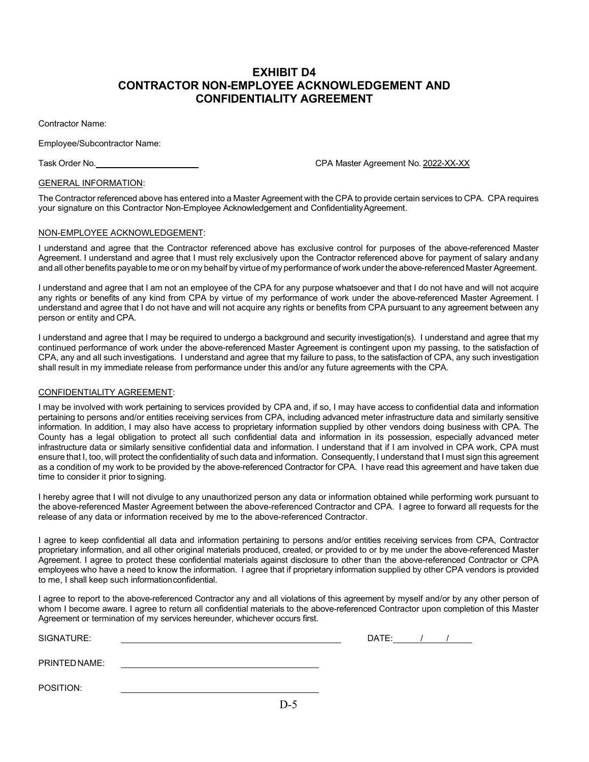#### **EXHIBIT D4 CONTRACTOR NON-EMPLOYEE ACKNOWLEDGEMENT AND CONFIDENTIALITY AGREEMENT**

Contractor Name:

Employee/Subcontractor Name:

Task Order No. CPA Master Agreement No. 2022-XX-XX

#### GENERAL INFORMATION:

The Contractor referenced above has entered into a Master Agreement with the CPA to provide certain services to CPA. CPA requires your signature on this Contractor Non-Employee Acknowledgement and Confidentiality Agreement.

#### NON-EMPLOYEE ACKNOWLEDGEMENT:

I understand and agree that the Contractor referenced above has exclusive control for purposes of the above-referenced Master Agreement. I understand and agree that I must rely exclusively upon the Contractor referenced above for payment of salary andany and all other benefits payable to me or on my behalf by virtue of my performance of work under the above-referencedMaster Agreement.

I understand and agree that I am not an employee of the CPA for any purpose whatsoever and that I do not have and will not acquire any rights or benefits of any kind from CPA by virtue of my performance of work under the above-referenced Master Agreement. I understand and agree that I do not have and will not acquire any rights or benefits from CPA pursuant to any agreement between any person or entity and CPA.

I understand and agree that I may be required to undergo a background and security investigation(s). I understand and agree that my continued performance of work under the above-referenced Master Agreement is contingent upon my passing, to the satisfaction of CPA, any and all such investigations. I understand and agree that my failure to pass, to the satisfaction of CPA, any such investigation shall result in my immediate release from performance under this and/or any future agreements with the CPA.

#### CONFIDENTIALITY AGREEMENT:

I may be involved with work pertaining to services provided by CPA and, if so, I may have access to confidential data and information pertaining to persons and/or entities receiving services from CPA, including advanced meter infrastructure data and similarly sensitive information. In addition, I may also have access to proprietary information supplied by other vendors doing business with CPA. The County has a legal obligation to protect all such confidential data and information in its possession, especially advanced meter infrastructure data or similarly sensitive confidential data and information. I understand that if I am involved in CPA work, CPA must ensure that I, too, will protect the confidentiality of such data and information. Consequently, I understand that I must sign this agreement as a condition of my work to be provided by the above-referenced Contractor for CPA. I have read this agreement and have taken due time to consider it prior tosigning.

I hereby agree that I will not divulge to any unauthorized person any data or information obtained while performing work pursuant to the above-referenced Master Agreement between the above-referenced Contractor and CPA. I agree to forward all requests for the release of any data or information received by me to the above-referenced Contractor.

I agree to keep confidential all data and information pertaining to persons and/or entities receiving services from CPA, Contractor proprietary information, and all other original materials produced, created, or provided to or by me under the above-referenced Master Agreement. I agree to protect these confidential materials against disclosure to other than the above-referenced Contractor or CPA employees who have a need to know the information. I agree that if proprietary information supplied by other CPA vendors is provided to me, I shall keep such informationconfidential.

I agree to report to the above-referenced Contractor any and all violations of this agreement by myself and/or by any other person of whom I become aware. I agree to return all confidential materials to the above-referenced Contractor upon completion of this Master Agreement or termination of my services hereunder, whichever occurs first.

| SIGNATURE:    | DATE: |  |  |
|---------------|-------|--|--|
| PRINTED NAME: |       |  |  |
| POSITION:     |       |  |  |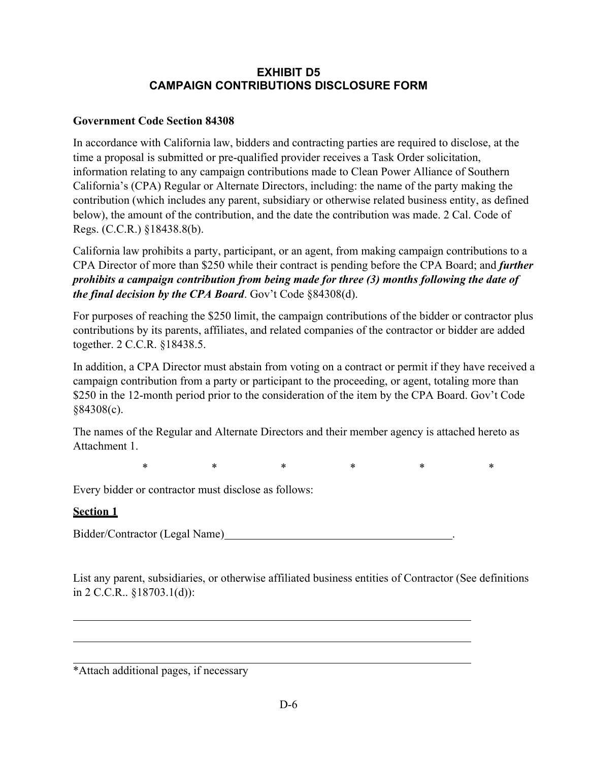### **EXHIBIT D5 CAMPAIGN CONTRIBUTIONS DISCLOSURE FORM**

#### **Government Code Section 84308**

In accordance with California law, bidders and contracting parties are required to disclose, at the time a proposal is submitted or pre-qualified provider receives a Task Order solicitation, information relating to any campaign contributions made to Clean Power Alliance of Southern California's (CPA) Regular or Alternate Directors, including: the name of the party making the contribution (which includes any parent, subsidiary or otherwise related business entity, as defined below), the amount of the contribution, and the date the contribution was made. 2 Cal. Code of Regs. (C.C.R.) §18438.8(b).

California law prohibits a party, participant, or an agent, from making campaign contributions to a CPA Director of more than \$250 while their contract is pending before the CPA Board; and *further prohibits a campaign contribution from being made for three (3) months following the date of the final decision by the CPA Board*. Gov't Code §84308(d).

For purposes of reaching the \$250 limit, the campaign contributions of the bidder or contractor plus contributions by its parents, affiliates, and related companies of the contractor or bidder are added together. 2 C.C.R. §18438.5.

In addition, a CPA Director must abstain from voting on a contract or permit if they have received a campaign contribution from a party or participant to the proceeding, or agent, totaling more than \$250 in the 12-month period prior to the consideration of the item by the CPA Board. Gov't Code §84308(c).

The names of the Regular and Alternate Directors and their member agency is attached hereto as Attachment 1.

\* \* \* \* \* \* \* \*

Every bidder or contractor must disclose as follows:

#### **Section 1**

Bidder/Contractor (Legal Name) .

List any parent, subsidiaries, or otherwise affiliated business entities of Contractor (See definitions in 2 C.C.R.. §18703.1(d)):

\*Attach additional pages, if necessary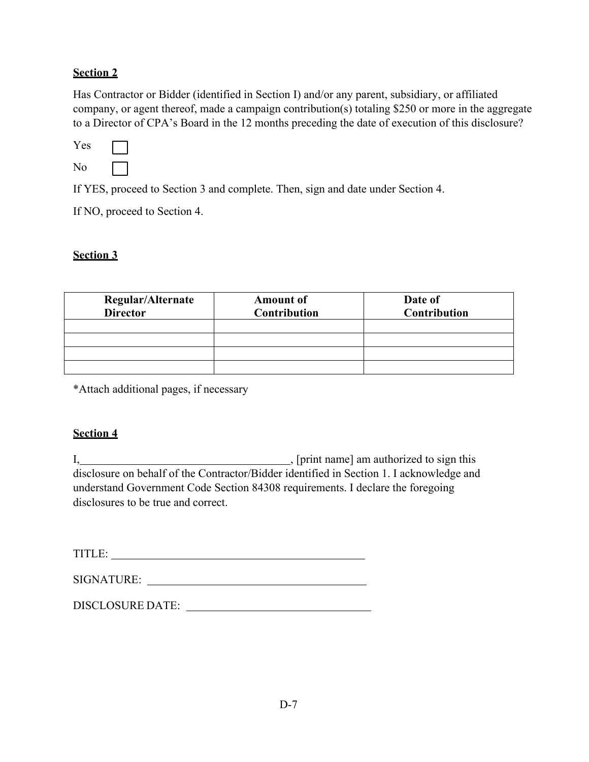#### **Section 2**

Has Contractor or Bidder (identified in Section I) and/or any parent, subsidiary, or affiliated company, or agent thereof, made a campaign contribution(s) totaling \$250 or more in the aggregate to a Director of CPA's Board in the 12 months preceding the date of execution of this disclosure?

| Yes |  |
|-----|--|
| No  |  |

If YES, proceed to Section 3 and complete. Then, sign and date under Section 4.

If NO, proceed to Section 4.

### **Section 3**

| Regular/Alternate<br><b>Director</b> | <b>Amount of</b><br><b>Contribution</b> | Date of<br><b>Contribution</b> |
|--------------------------------------|-----------------------------------------|--------------------------------|
|                                      |                                         |                                |
|                                      |                                         |                                |
|                                      |                                         |                                |
|                                      |                                         |                                |

\*Attach additional pages, if necessary

### **Section 4**

I, [print name] am authorized to sign this disclosure on behalf of the Contractor/Bidder identified in Section 1. I acknowledge and understand Government Code Section 84308 requirements. I declare the foregoing disclosures to be true and correct.

TITLE:

DISCLOSURE DATE: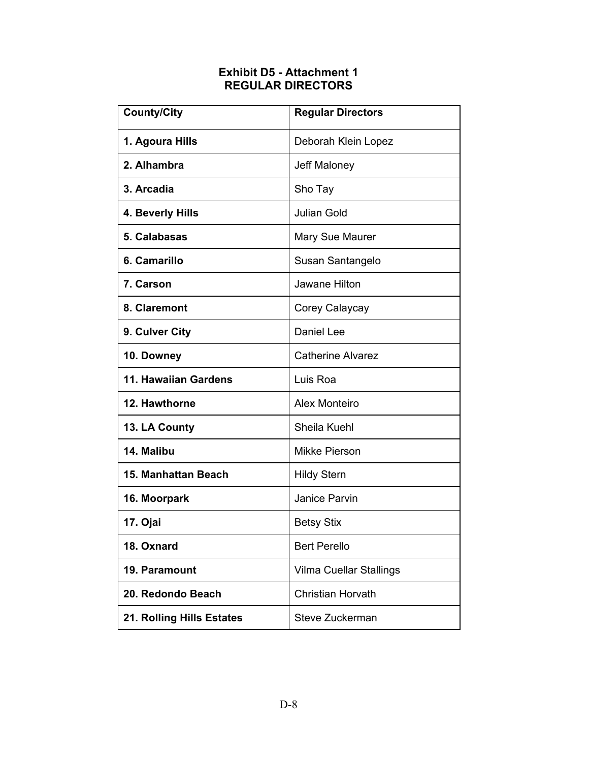### **Exhibit D5 - Attachment 1 REGULAR DIRECTORS**

| <b>County/City</b>        | <b>Regular Directors</b> |  |
|---------------------------|--------------------------|--|
| 1. Agoura Hills           | Deborah Klein Lopez      |  |
| 2. Alhambra               | Jeff Maloney             |  |
| 3. Arcadia                | Sho Tay                  |  |
| 4. Beverly Hills          | <b>Julian Gold</b>       |  |
| 5. Calabasas              | <b>Mary Sue Maurer</b>   |  |
| 6. Camarillo              | Susan Santangelo         |  |
| <b>7. Carson</b>          | Jawane Hilton            |  |
| 8. Claremont              | Corey Calaycay           |  |
| 9. Culver City            | Daniel Lee               |  |
| 10. Downey                | <b>Catherine Alvarez</b> |  |
| 11. Hawaiian Gardens      | Luis Roa                 |  |
| 12. Hawthorne             | Alex Monteiro            |  |
| 13. LA County             | Sheila Kuehl             |  |
| 14. Malibu                | Mikke Pierson            |  |
| 15. Manhattan Beach       | <b>Hildy Stern</b>       |  |
| 16. Moorpark              | <b>Janice Parvin</b>     |  |
| 17. Ojai                  | <b>Betsy Stix</b>        |  |
| 18. Oxnard                | <b>Bert Perello</b>      |  |
| 19. Paramount             | Vilma Cuellar Stallings  |  |
| 20. Redondo Beach         | <b>Christian Horvath</b> |  |
| 21. Rolling Hills Estates | Steve Zuckerman          |  |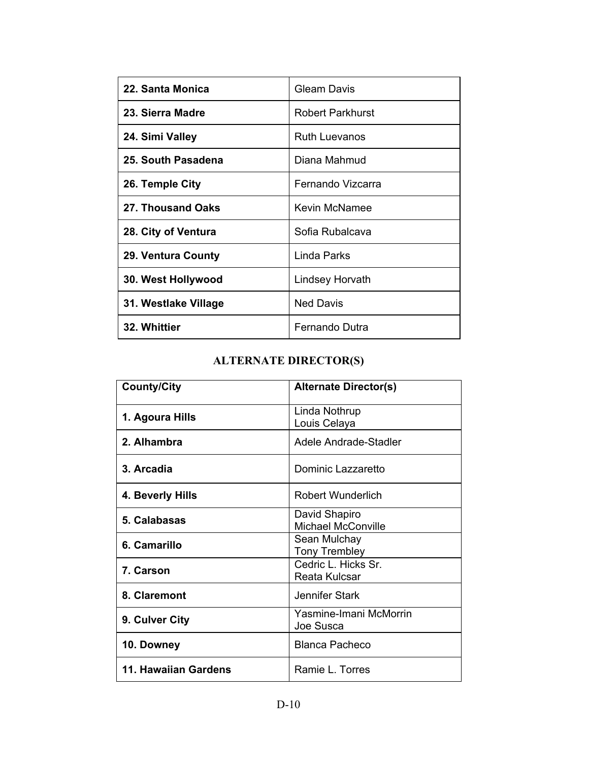| 22. Santa Monica     | Gleam Davis          |  |
|----------------------|----------------------|--|
| 23. Sierra Madre     | Robert Parkhurst     |  |
| 24. Simi Valley      | <b>Ruth Luevanos</b> |  |
| 25. South Pasadena   | Diana Mahmud         |  |
| 26. Temple City      | Fernando Vizcarra    |  |
| 27. Thousand Oaks    | Kevin McNamee        |  |
| 28. City of Ventura  | Sofia Rubalcava      |  |
| 29. Ventura County   | Linda Parks          |  |
| 30. West Hollywood   | Lindsey Horvath      |  |
| 31. Westlake Village | <b>Ned Davis</b>     |  |
| 32. Whittier         | Fernando Dutra       |  |

## **ALTERNATE DIRECTOR(S)**

| <b>County/City</b>   | <b>Alternate Director(s)</b>               |  |
|----------------------|--------------------------------------------|--|
| 1. Agoura Hills      | Linda Nothrup<br>Louis Celaya              |  |
| 2. Alhambra          | Adele Andrade-Stadler                      |  |
| 3. Arcadia           | Dominic Lazzaretto                         |  |
| 4. Beverly Hills     | <b>Robert Wunderlich</b>                   |  |
| 5. Calabasas         | David Shapiro<br><b>Michael McConville</b> |  |
| 6. Camarillo         | Sean Mulchay<br><b>Tony Trembley</b>       |  |
| 7. Carson            | Cedric L. Hicks Sr.<br>Reata Kulcsar       |  |
| 8. Claremont         | Jennifer Stark                             |  |
| 9. Culver City       | Yasmine-Imani McMorrin<br>Joe Susca        |  |
| 10. Downey           | <b>Blanca Pacheco</b>                      |  |
| 11. Hawaiian Gardens | Ramie L. Torres                            |  |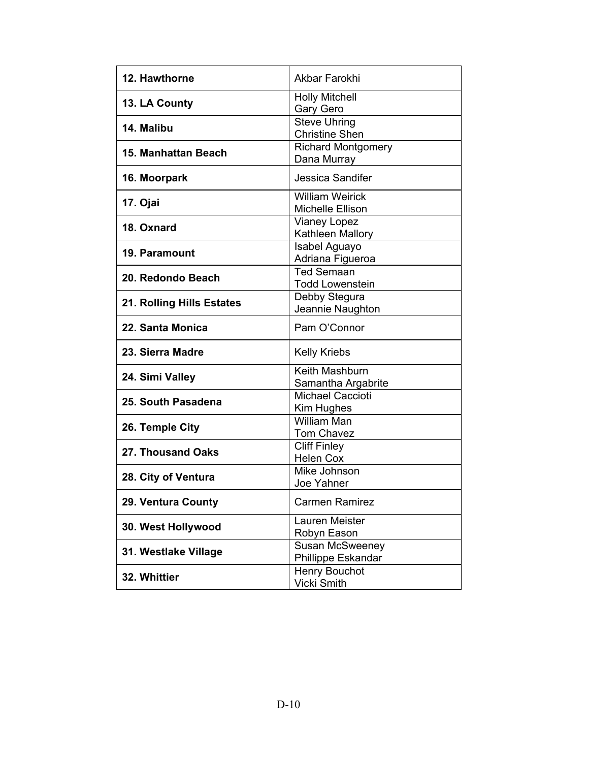| 12. Hawthorne              | Akbar Farokhi                                     |  |  |
|----------------------------|---------------------------------------------------|--|--|
| 13. LA County              | <b>Holly Mitchell</b><br>Gary Gero                |  |  |
| 14. Malibu                 | <b>Steve Uhring</b><br><b>Christine Shen</b>      |  |  |
| <b>15. Manhattan Beach</b> | <b>Richard Montgomery</b><br>Dana Murray          |  |  |
| 16. Moorpark               | <b>Jessica Sandifer</b>                           |  |  |
| 17. Ojai                   | <b>William Weirick</b><br><b>Michelle Ellison</b> |  |  |
| 18. Oxnard                 | <b>Vianey Lopez</b><br>Kathleen Mallory           |  |  |
| 19. Paramount              | Isabel Aguayo<br>Adriana Figueroa                 |  |  |
| 20. Redondo Beach          | <b>Ted Semaan</b><br><b>Todd Lowenstein</b>       |  |  |
| 21. Rolling Hills Estates  | Debby Stegura<br>Jeannie Naughton                 |  |  |
| 22. Santa Monica           | Pam O'Connor                                      |  |  |
| 23. Sierra Madre           | <b>Kelly Kriebs</b>                               |  |  |
| 24. Simi Valley            | Keith Mashburn<br>Samantha Argabrite              |  |  |
| 25. South Pasadena         | <b>Michael Caccioti</b><br>Kim Hughes             |  |  |
| 26. Temple City            | <b>William Man</b><br><b>Tom Chavez</b>           |  |  |
| 27. Thousand Oaks          | <b>Cliff Finley</b><br><b>Helen Cox</b>           |  |  |
| 28. City of Ventura        | Mike Johnson<br>Joe Yahner                        |  |  |
| 29. Ventura County         | <b>Carmen Ramirez</b>                             |  |  |
| 30. West Hollywood         | Lauren Meister<br>Robyn Eason                     |  |  |
| 31. Westlake Village       | Susan McSweeney<br>Phillippe Eskandar             |  |  |
| 32. Whittier               | Henry Bouchot<br><b>Vicki Smith</b>               |  |  |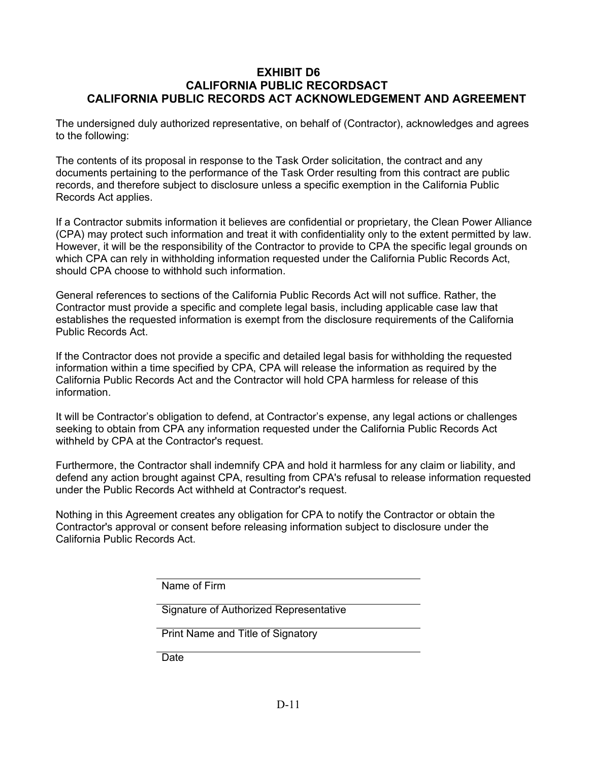#### **EXHIBIT D6 CALIFORNIA PUBLIC RECORDSACT CALIFORNIA PUBLIC RECORDS ACT ACKNOWLEDGEMENT AND AGREEMENT**

The undersigned duly authorized representative, on behalf of (Contractor), acknowledges and agrees to the following:

The contents of its proposal in response to the Task Order solicitation, the contract and any documents pertaining to the performance of the Task Order resulting from this contract are public records, and therefore subject to disclosure unless a specific exemption in the California Public Records Act applies.

If a Contractor submits information it believes are confidential or proprietary, the Clean Power Alliance (CPA) may protect such information and treat it with confidentiality only to the extent permitted by law. However, it will be the responsibility of the Contractor to provide to CPA the specific legal grounds on which CPA can rely in withholding information requested under the California Public Records Act, should CPA choose to withhold such information.

General references to sections of the California Public Records Act will not suffice. Rather, the Contractor must provide a specific and complete legal basis, including applicable case law that establishes the requested information is exempt from the disclosure requirements of the California Public Records Act.

If the Contractor does not provide a specific and detailed legal basis for withholding the requested information within a time specified by CPA, CPA will release the information as required by the California Public Records Act and the Contractor will hold CPA harmless for release of this information.

It will be Contractor's obligation to defend, at Contractor's expense, any legal actions or challenges seeking to obtain from CPA any information requested under the California Public Records Act withheld by CPA at the Contractor's request.

Furthermore, the Contractor shall indemnify CPA and hold it harmless for any claim or liability, and defend any action brought against CPA, resulting from CPA's refusal to release information requested under the Public Records Act withheld at Contractor's request.

Nothing in this Agreement creates any obligation for CPA to notify the Contractor or obtain the Contractor's approval or consent before releasing information subject to disclosure under the California Public Records Act.

Name of Firm

Signature of Authorized Representative

| Print Name and Title of Signatory |  |  |
|-----------------------------------|--|--|
|-----------------------------------|--|--|

**Date**